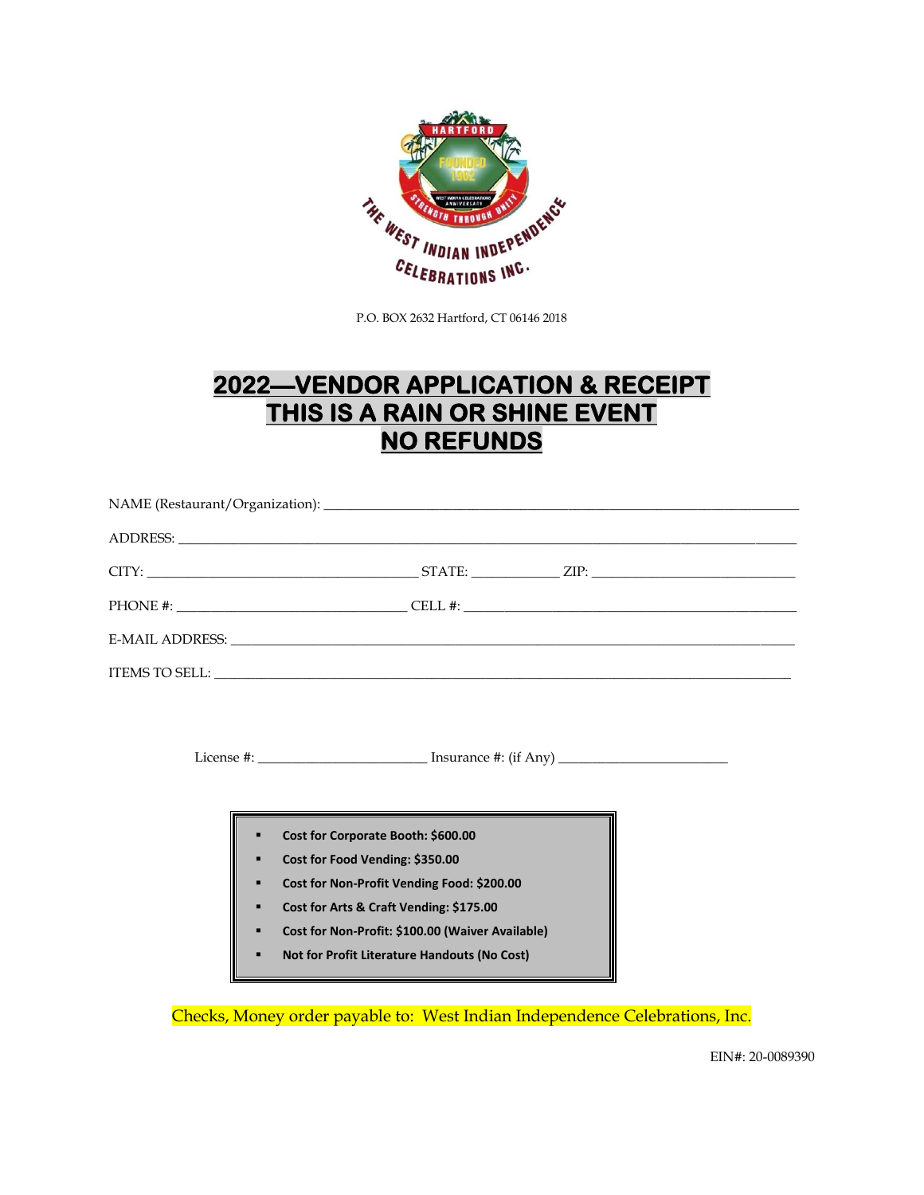

P.O. BOX 2632 Hartford, CT 06146 2018

# **2022—VENDOR APPLICATION & RECEIPT THIS IS A RAIN OR SHINE EVENT NO REFUNDS**

License #: \_\_\_\_\_\_\_\_\_\_\_\_\_\_\_\_\_\_\_\_\_\_\_\_\_ Insurance #: (if Any) \_\_\_\_\_\_\_\_\_\_\_\_\_\_\_\_\_\_\_\_\_\_\_\_\_

- **Cost for Corporate Booth: \$600.00**
- **Cost for Food Vending: \$350.00**
- **Cost for Non-Profit Vending Food: \$200.00**
- **Cost for Arts & Craft Vending: \$175.00**
- **Cost for Non-Profit: \$100.00 (Waiver Available)**
- **Not for Profit Literature Handouts (No Cost)**

Checks, Money order payable to: West Indian Independence Celebrations, Inc.

EIN#: 20-0089390